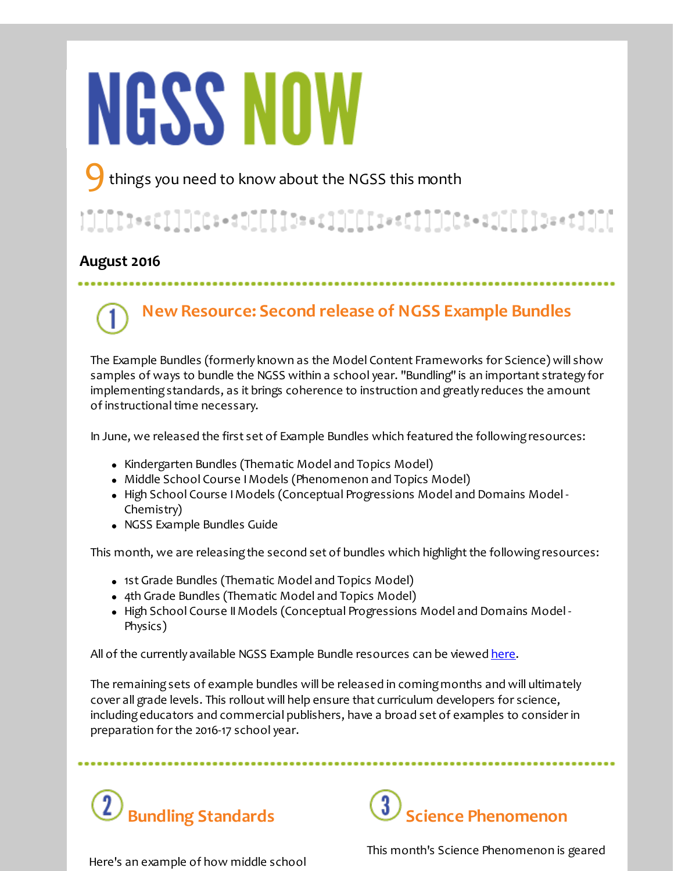# **NGSS NOW**

things you need to know about the NGSS this month

## }]][[[t==c]]]][c=+dt][[][b==t]]][[[i==c]]]][c==d1[[][]b==t]][[

### **August 2016**

## **New Resource: Second release of NGSS Example Bundles**

The Example Bundles (formerly known as the Model Content Frameworks for Science) will show samples of ways to bundle the NGSS within a school year. "Bundling" is an important strategy for implementingstandards, as it brings coherence to instruction and greatly reduces the amount of instructional time necessary.

In June, we released the first set of Example Bundles which featured the followingresources:

- Kindergarten Bundles (Thematic Model and Topics Model)
- Middle School Course IModels (Phenomenon and Topics Model)
- High School Course IModels (Conceptual Progressions Model and Domains Model Chemistry)
- NGSS Example Bundles Guide

This month, we are releasing the second set of bundles which highlight the following resources:

- 1st Grade Bundles (Thematic Model and Topics Model)
- 4th Grade Bundles (Thematic Model and Topics Model)
- High School Course IIModels (Conceptual Progressions Model and Domains Model Physics)

All of the currently available NGSS Example Bundle resources can be viewed [here](http://r20.rs6.net/tn.jsp?f=001dJLWzy-Zr1jfqu1aJQhYUIggBY56aCrNEAIKryvqyEUFlUjd9GQbkWh8VDq_n-2UQJNl2qbxjuAt33yQZOtKmp8sKnJ9vE6xJD4M9RBWRWJqg9LKZoSrGGaWbKZlGvtke6TdZgU_KzQ59lJfiF3_iVxvGqHnyc0dmXZ_PN6r1f1me2NE6BrBKkpivQgPJLw3d1soY1AMha9llsd5p-orOg==&c=&ch=).

The remainingsets of example bundles will be released in comingmonths and will ultimately cover all grade levels. This rollout will help ensure that curriculum developers for science, includingeducators and commercial publishers, have a broad set of examples to consider in preparation for the 2016-17 school year.





Here's an example of how middle school

This month's Science Phenomenon is geared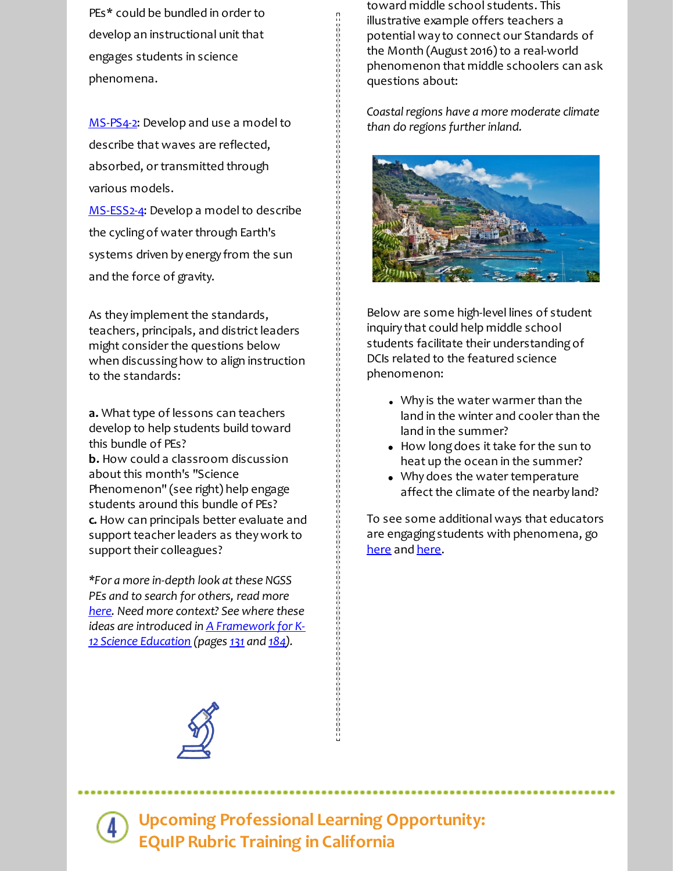PEs\* could be bundled in order to develop an instructional unit that engages students in science phenomena.

[MS-PS4-2](http://r20.rs6.net/tn.jsp?f=001dJLWzy-Zr1jfqu1aJQhYUIggBY56aCrNEAIKryvqyEUFlUjd9GQbkbi7vt79AJXk1BmY_ZNhAa6Enw_hO2gtGkznTXhSn7QGfaGq7iCCb2gX5tx88KJDpkwm5XNL6xKVxuP8igcPylKe_TxaaT5snDoXfEGmc6Ckq7iDlRyaLsQLIOR_frDGhMqcBEla3DrszjAPvvE67u2RMg7h6hyH8yGb7dAzUmI-qd8U2gnHEEA027ME0jdn1JATD6FmcwensGWxttMeb3qUHG8yf3yz7Q==&c=&ch=): Develop and use a model to describe that waves are reflected, absorbed, or transmitted through various models.

[MS-ESS2-4:](http://r20.rs6.net/tn.jsp?f=001dJLWzy-Zr1jfqu1aJQhYUIggBY56aCrNEAIKryvqyEUFlUjd9GQbkbi7vt79AJXkxYaNp5Vhs7wXGMDSSgMqJxrS8Igrj8qJUVWle-EfSR5CedWzY-crYpWJjBg-irhh_b-gc1uaj3F9di_ADT0B6TPNHInM2p9ezNhG7lBBY1CvmMuh0nZQKLisTLNLXi76UGexQe4qw3e1HPnDlCxgqA==&c=&ch=) Develop a model to describe the cyclingof water through Earth's systems driven by energy from the sun and the force of gravity.

As they implement the standards, teachers, principals, and district leaders might consider the questions below when discussing how to align instruction to the standards:

a. What type of lessons can teachers develop to help students build toward this bundle of PEs?

**b.** How could a classroom discussion about this month's "Science Phenomenon" (see right) help engage students around this bundle of PEs? **c.** How can principals better evaluate and support teacher leaders as they work to support their colleagues?

*\*For a more in-depth look atthese NGSS PEs and to search for others, read more [here](http://r20.rs6.net/tn.jsp?f=001dJLWzy-Zr1jfqu1aJQhYUIggBY56aCrNEAIKryvqyEUFlUjd9GQbkYsJLdX8HhD8KABIwd4AkeJ6OHI_YQrwU3qbtOc7r6b9HlTaON-APuW7P9Yts5DJJA0UhustOU60y_Z-gKlY9fYK6IWnfAzOO4HA8yK2GA_CZby34BeOyNPoNFf9fD3gF_fPc14ifh6muJ7GUCCurKs=&c=&ch=). Need more context? See where these ideas are introduced in A [Framework](http://r20.rs6.net/tn.jsp?f=001dJLWzy-Zr1jfqu1aJQhYUIggBY56aCrNEAIKryvqyEUFlUjd9GQbkcpenbGT67O0FtVcI-7VJGinsbEMSeLW8gp5Nnf-W0BEuzZS72wA3qz2v3JjnnR_-U3w3IDGfD1wnHUlwvi7-bck6pfCDsWsTcKKk-ZxU3FFzj95Ivi19ixNQaHMZUkx-GvCXWRopaJZGox5F4mn9LCTpCkJlzVmig==&c=&ch=) for K-12 Science Education (pages [131](http://r20.rs6.net/tn.jsp?f=001dJLWzy-Zr1jfqu1aJQhYUIggBY56aCrNEAIKryvqyEUFlUjd9GQbkbi7vt79AJXkWuIegEFNii-izFuBt6T7WYuo0yOo9WM5rIpancT7rapQu3hl_PL75N9P6tbXlqzWxaH66JiHzWuYIH6Nozzj1TqRRQEfI5OC3dx-o6xJq--9ay4wztjc4_1cFq-7bja0rE1rLSg00LAlygiYSHtU5A==&c=&ch=) and [184](http://r20.rs6.net/tn.jsp?f=001dJLWzy-Zr1jfqu1aJQhYUIggBY56aCrNEAIKryvqyEUFlUjd9GQbkWmvgc5pclUXP6OkMX9mJ5UXT6B9h1KYLMYawRhL3oKWKn9zui8LBK-Hfi1dEYXlMQkAialgQLwxihtJygnWD4J3tIjH7BZgX5hGgdug_q4Emts2B3kbfDzbv2k8bLAmizfJL2qFmsNEFsnjcBSBTvH61GNhq6ddoA==&c=&ch=)).*

toward middle school students. This illustrative example offers teachers a potential way to connect our Standards of the Month (August 2016) to a real-world phenomenon that middle schoolers can ask questions about:

*Coastalregions have a more moderate climate than do regions furtherinland.*



Below are some high-level lines of student inquiry that could help middle school students facilitate their understandingof DCIs related to the featured science phenomenon:

- Why is the water warmer than the land in the winter and cooler than the land in the summer?
- How long does it take for the sun to heat up the ocean in the summer?
- Why does the water temperature affect the climate of the nearby land?

To see some additional ways that educators are engaging students with phenomena, go [here](http://r20.rs6.net/tn.jsp?f=001dJLWzy-Zr1jfqu1aJQhYUIggBY56aCrNEAIKryvqyEUFlUjd9GQbkbksMWTbk3cIDf72DUCnxoRCcxvORkO5abbxRkbb96Avy1c9X2Db0WFz8-OqD0I7oovalMgcXWZJLVnzWdAVHAFnUyc7sPSnipKUygiesLD44AWZHGVFKXmgrGJib8JPsXK7JqTxZB3GdSM1LwwyyAQ6ImWBHQBJNw==&c=&ch=) and [here](http://r20.rs6.net/tn.jsp?f=001dJLWzy-Zr1jfqu1aJQhYUIggBY56aCrNEAIKryvqyEUFlUjd9GQbkbksMWTbk3cI1fBzdUgtgIQvgn0Tu5VYP9P7hSfQ3LMDu015ewUoZUlcdP3AY5UBr0vM7b3SRQqV7a0huqtkdXNZ7H3ZAGpuLEgMG7cCtudgiUCGO6QYdDRc4mpp1XxF5aiO4jwkTnnPIgPBMGrFZQeQEztpJyzrhr2bY6RbcG16WynNlZ7vlOe5AoaBaBESLwse1Mukaa2A&c=&ch=).



**Upcoming Professional Learning Opportunity: EQuIP Rubric Training in California**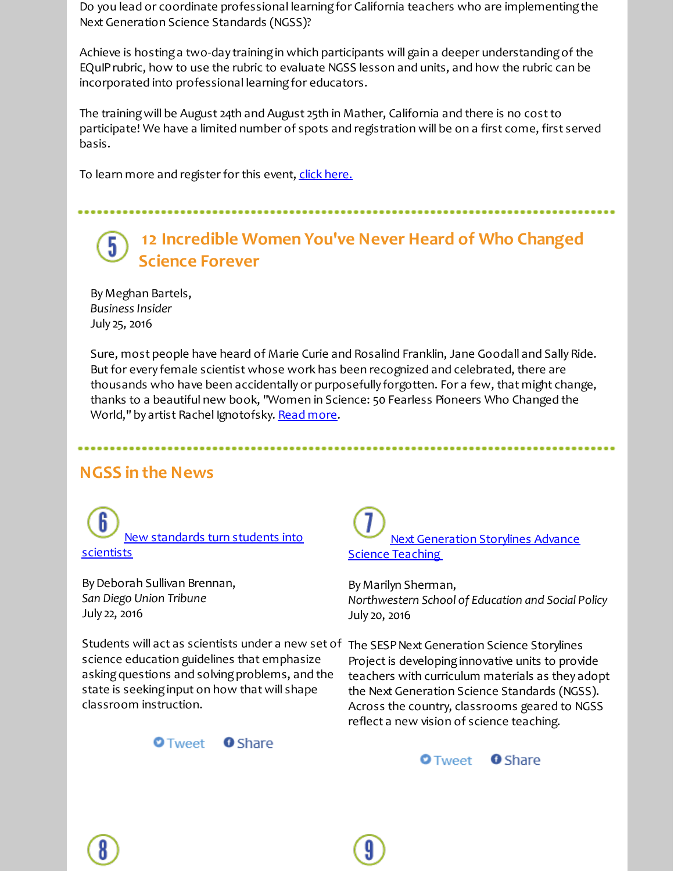Do you lead or coordinate professional learning for California teachers who are implementing the Next Generation Science Standards (NGSS)?

Achieve is hostinga two-day trainingin which participants will gain a deeper understandingof the EQuIPrubric, how to use the rubric to evaluate NGSS lesson and units, and how the rubric can be incorporated into professional learning for educators.

The trainingwill be August 24th and August 25th in Mather, California and there is no costto participate! We have a limited number of spots and registration will be on a first come, first served basis.

To learn more and register for this event, click [here.](http://r20.rs6.net/tn.jsp?f=001dJLWzy-Zr1jfqu1aJQhYUIggBY56aCrNEAIKryvqyEUFlUjd9GQbkbi7vt79AJXkB9_8khDbHIah0jXQ_4o5IpSnw99DpTQXxAMiDqQqGK48ZHhD-FgZsemqzgrBFQrjzgCDun0sQCLFDH5rLCn7cC-QSxFSFbtfgqvQ0GlOdVY_wpmJG4aJJOUKSzDs7F2MQPwJmKA2XX1zioBxhhRm13-R1H-krpYQk7K6mCJcfJpm90lF7JpZxdoSeX3rTGv2Jdj_D0dcaiPPov4ncHM3N2lod6kBYSvFlDXTlG87JJD4Bj0PjqcW6Q==&c=&ch=)

**12 Incredible Women You've Never Heard of Who Changed Science Forever**

ByMeghan Bartels, *Business Insider* July 25, 2016

Sure, most people have heard of Marie Curie and Rosalind Franklin, Jane Goodall and Sally Ride. But for every female scientist whose work has been recognized and celebrated, there are thousands who have been accidentally or purposefully forgotten. For a few, that might change, thanks to a beautiful new book, "Women in Science: 50 Fearless Pioneers Who Changed the World," by artist Rachel Ignotofsky. Read [more](http://r20.rs6.net/tn.jsp?f=001dJLWzy-Zr1jfqu1aJQhYUIggBY56aCrNEAIKryvqyEUFlUjd9GQbkbi7vt79AJXk88eG2sbzPPdvmSOA7Xcx_Gva_KrwPFPbVaP5lG7LGrEv-yMFog2yb2UaoDitbP_RKMtELxx5v9yMeYIw8gx9Nq3iVt_jg2Ggw3cZNhQ7MqZ0v9ANwcv-dTS6a9cW07I9SQJCtJ3C2CivykNfSS9Jr7uJ2e_f86eiApSs1j0PZPtL9f8hXpD1BjtHfG_uy7xZ&c=&ch=).

## **NGSS in the News**



By Deborah Sullivan Brennan, *San Diego Union Tribune* July 22, 2016

Students will act as scientists under a new set of The SESPNext Generation Science Storylines science education guidelines that emphasize asking questions and solving problems, and the state is seekinginput on how that will shape classroom instruction.



Next [Generation](http://r20.rs6.net/tn.jsp?f=001dJLWzy-Zr1jfqu1aJQhYUIggBY56aCrNEAIKryvqyEUFlUjd9GQbkbi7vt79AJXkMU_eDh3Gz6yekr_B_ZcId8BGYe54JBlmszBhOWvp6EtT5Zt5xjwutczYqSgG-ubxwc00ORmW6rcitdZpYLcdB0h12Eog55LJ0tD77eY6fdFRqL3laV3maCKV8paq-ewCkwtLLoZFRC3Em9VOF4uy6vEWLpZESQuGj2C9dDOYmwc62LWyhOkbPre8_KzY5aboqerzJDn2TdAEydKp3ElamMk_0USd4KZZYuyWXtSUg20=&c=&ch=) Storylines Advance **Science Teaching** 

ByMarilyn Sherman, *Northwestern School of Education and Social Policy* July 20, 2016

Project is developing innovative units to provide teachers with curriculum materials as they adopt the Next Generation Science Standards (NGSS). Across the country, classrooms geared to NGSS reflect a new vision of science teaching.